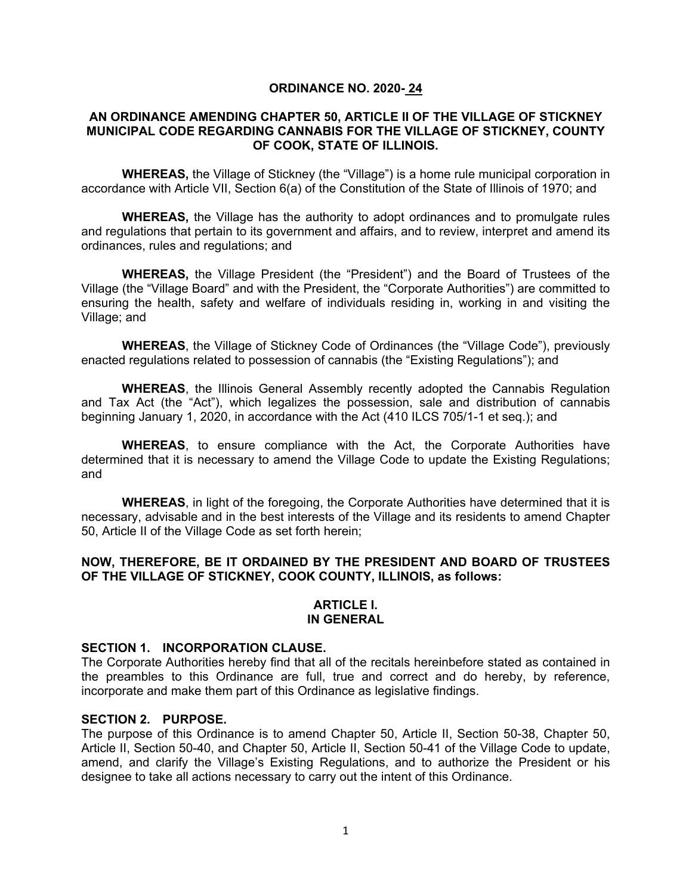## **ORDINANCE NO. 2020- 24**

### **AN ORDINANCE AMENDING CHAPTER 50, ARTICLE II OF THE VILLAGE OF STICKNEY MUNICIPAL CODE REGARDING CANNABIS FOR THE VILLAGE OF STICKNEY, COUNTY OF COOK, STATE OF ILLINOIS.**

**WHEREAS,** the Village of Stickney (the "Village") is a home rule municipal corporation in accordance with Article VII, Section 6(a) of the Constitution of the State of Illinois of 1970; and

**WHEREAS,** the Village has the authority to adopt ordinances and to promulgate rules and regulations that pertain to its government and affairs, and to review, interpret and amend its ordinances, rules and regulations; and

**WHEREAS,** the Village President (the "President") and the Board of Trustees of the Village (the "Village Board" and with the President, the "Corporate Authorities") are committed to ensuring the health, safety and welfare of individuals residing in, working in and visiting the Village; and

**WHEREAS**, the Village of Stickney Code of Ordinances (the "Village Code"), previously enacted regulations related to possession of cannabis (the "Existing Regulations"); and

**WHEREAS**, the Illinois General Assembly recently adopted the Cannabis Regulation and Tax Act (the "Act"), which legalizes the possession, sale and distribution of cannabis beginning January 1, 2020, in accordance with the Act (410 ILCS 705/1-1 et seq.); and

**WHEREAS**, to ensure compliance with the Act, the Corporate Authorities have determined that it is necessary to amend the Village Code to update the Existing Regulations; and

**WHEREAS**, in light of the foregoing, the Corporate Authorities have determined that it is necessary, advisable and in the best interests of the Village and its residents to amend Chapter 50, Article II of the Village Code as set forth herein;

## **NOW, THEREFORE, BE IT ORDAINED BY THE PRESIDENT AND BOARD OF TRUSTEES OF THE VILLAGE OF STICKNEY, COOK COUNTY, ILLINOIS, as follows:**

#### **ARTICLE I. IN GENERAL**

## **SECTION 1. INCORPORATION CLAUSE.**

The Corporate Authorities hereby find that all of the recitals hereinbefore stated as contained in the preambles to this Ordinance are full, true and correct and do hereby, by reference, incorporate and make them part of this Ordinance as legislative findings.

#### **SECTION 2. PURPOSE.**

The purpose of this Ordinance is to amend Chapter 50, Article II, Section 50-38, Chapter 50, Article II, Section 50-40, and Chapter 50, Article II, Section 50-41 of the Village Code to update, amend, and clarify the Village's Existing Regulations, and to authorize the President or his designee to take all actions necessary to carry out the intent of this Ordinance.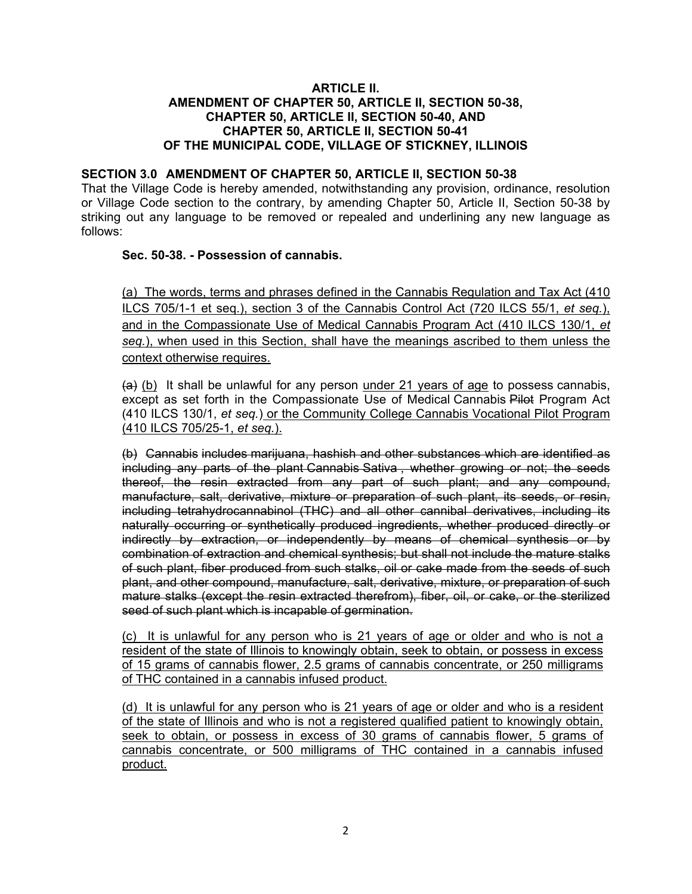### **ARTICLE II. AMENDMENT OF CHAPTER 50, ARTICLE II, SECTION 50-38, CHAPTER 50, ARTICLE II, SECTION 50-40, AND CHAPTER 50, ARTICLE II, SECTION 50-41 OF THE MUNICIPAL CODE, VILLAGE OF STICKNEY, ILLINOIS**

## **SECTION 3.0 AMENDMENT OF CHAPTER 50, ARTICLE II, SECTION 50-38**

That the Village Code is hereby amended, notwithstanding any provision, ordinance, resolution or Village Code section to the contrary, by amending Chapter 50, Article II, Section 50-38 by striking out any language to be removed or repealed and underlining any new language as follows:

## **Sec. 50-38. - Possession of cannabis.**

(a) The words, terms and phrases defined in the Cannabis Regulation and Tax Act (410 ILCS 705/1-1 et seq.), section 3 of the Cannabis Control Act (720 ILCS 55/1, *et seq.*), and in the Compassionate Use of Medical Cannabis Program Act (410 ILCS 130/1, *et seq.*), when used in this Section, shall have the meanings ascribed to them unless the context otherwise requires.

 $(a)$  (b) It shall be unlawful for any person under 21 years of age to possess cannabis, except as set forth in the Compassionate Use of Medical Cannabis Pilot Program Act (410 ILCS 130/1, *et seq.*) or the Community College Cannabis Vocational Pilot Program (410 ILCS 705/25-1, *et seq.*).

(b) Cannabis includes marijuana, hashish and other substances which are identified as including any parts of the plant Cannabis Sativa , whether growing or not; the seeds thereof, the resin extracted from any part of such plant; and any compound, manufacture, salt, derivative, mixture or preparation of such plant, its seeds, or resin, including tetrahydrocannabinol (THC) and all other cannibal derivatives, including its naturally occurring or synthetically produced ingredients, whether produced directly or indirectly by extraction, or independently by means of chemical synthesis or by combination of extraction and chemical synthesis; but shall not include the mature stalks of such plant, fiber produced from such stalks, oil or cake made from the seeds of such plant, and other compound, manufacture, salt, derivative, mixture, or preparation of such mature stalks (except the resin extracted therefrom), fiber, oil, or cake, or the sterilized seed of such plant which is incapable of germination.

(c) It is unlawful for any person who is 21 years of age or older and who is not a resident of the state of Illinois to knowingly obtain, seek to obtain, or possess in excess of 15 grams of cannabis flower, 2.5 grams of cannabis concentrate, or 250 milligrams of THC contained in a cannabis infused product.

(d) It is unlawful for any person who is 21 years of age or older and who is a resident of the state of Illinois and who is not a registered qualified patient to knowingly obtain, seek to obtain, or possess in excess of 30 grams of cannabis flower, 5 grams of cannabis concentrate, or 500 milligrams of THC contained in a cannabis infused product.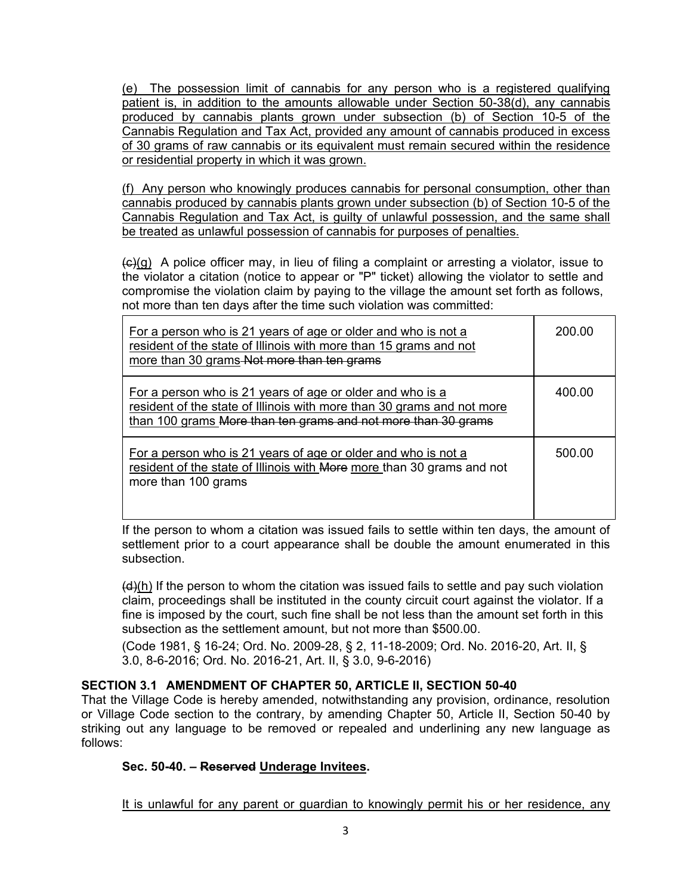(e) The possession limit of cannabis for any person who is a registered qualifying patient is, in addition to the amounts allowable under Section 50-38(d), any cannabis produced by cannabis plants grown under subsection (b) of Section 10-5 of the Cannabis Regulation and Tax Act, provided any amount of cannabis produced in excess of 30 grams of raw cannabis or its equivalent must remain secured within the residence or residential property in which it was grown.

(f) Any person who knowingly produces cannabis for personal consumption, other than cannabis produced by cannabis plants grown under subsection (b) of Section 10-5 of the Cannabis Regulation and Tax Act, is guilty of unlawful possession, and the same shall be treated as unlawful possession of cannabis for purposes of penalties.

 $\left(\frac{c}{c}\right)(g)$  A police officer may, in lieu of filing a complaint or arresting a violator, issue to the violator a citation (notice to appear or "P" ticket) allowing the violator to settle and compromise the violation claim by paying to the village the amount set forth as follows, not more than ten days after the time such violation was committed:

| For a person who is 21 years of age or older and who is not a<br>resident of the state of Illinois with more than 15 grams and not<br>more than 30 grams Not more than ten grams                     | 200.00 |
|------------------------------------------------------------------------------------------------------------------------------------------------------------------------------------------------------|--------|
| For a person who is 21 years of age or older and who is a<br>resident of the state of Illinois with more than 30 grams and not more<br>than 100 grams More than ten grams and not more than 30 grams | 400.00 |
| For a person who is 21 years of age or older and who is not a<br>resident of the state of Illinois with More more than 30 grams and not<br>more than 100 grams                                       | 500.00 |

If the person to whom a citation was issued fails to settle within ten days, the amount of settlement prior to a court appearance shall be double the amount enumerated in this subsection.

 $\left\{ \frac{d}{dt} \right\}$  If the person to whom the citation was issued fails to settle and pay such violation claim, proceedings shall be instituted in the county circuit court against the violator. If a fine is imposed by the court, such fine shall be not less than the amount set forth in this subsection as the settlement amount, but not more than \$500.00.

(Code 1981, § 16-24; Ord. No. 2009-28, § 2, 11-18-2009; Ord. No. 2016-20, Art. II, § 3.0, 8-6-2016; Ord. No. 2016-21, Art. II, § 3.0, 9-6-2016)

# **SECTION 3.1 AMENDMENT OF CHAPTER 50, ARTICLE II, SECTION 50-40**

That the Village Code is hereby amended, notwithstanding any provision, ordinance, resolution or Village Code section to the contrary, by amending Chapter 50, Article II, Section 50-40 by striking out any language to be removed or repealed and underlining any new language as follows:

# **Sec. 50-40. – Reserved Underage Invitees.**

It is unlawful for any parent or guardian to knowingly permit his or her residence, any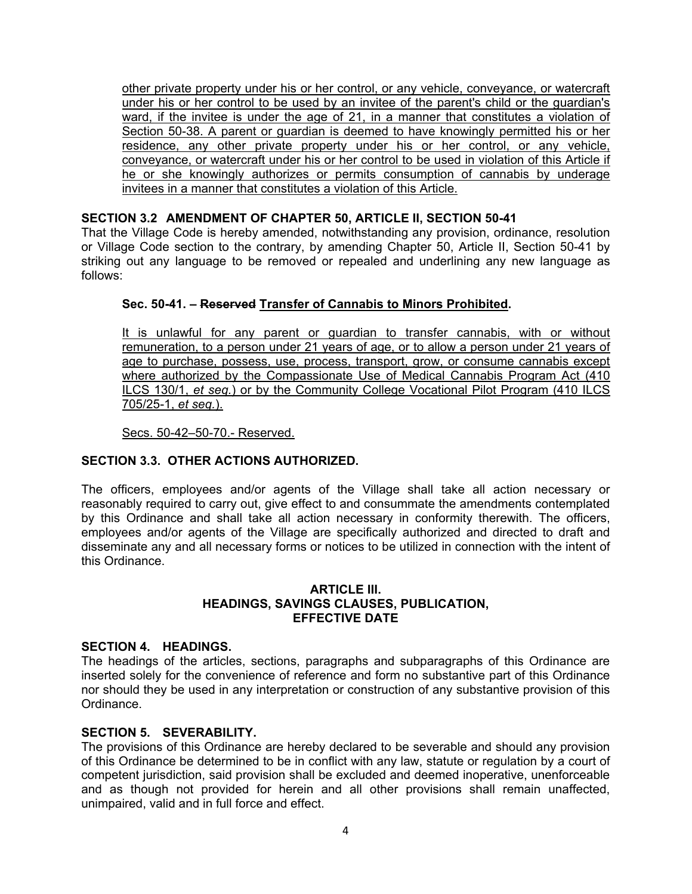other private property under his or her control, or any vehicle, conveyance, or watercraft under his or her control to be used by an invitee of the parent's child or the guardian's ward, if the invitee is under the age of 21, in a manner that constitutes a violation of Section 50-38. A parent or quardian is deemed to have knowingly permitted his or her residence, any other private property under his or her control, or any vehicle, conveyance, or watercraft under his or her control to be used in violation of this Article if he or she knowingly authorizes or permits consumption of cannabis by underage invitees in a manner that constitutes a violation of this Article.

## **SECTION 3.2 AMENDMENT OF CHAPTER 50, ARTICLE II, SECTION 50-41**

That the Village Code is hereby amended, notwithstanding any provision, ordinance, resolution or Village Code section to the contrary, by amending Chapter 50, Article II, Section 50-41 by striking out any language to be removed or repealed and underlining any new language as follows:

## **Sec. 50-41. – Reserved Transfer of Cannabis to Minors Prohibited.**

It is unlawful for any parent or guardian to transfer cannabis, with or without remuneration, to a person under 21 years of age, or to allow a person under 21 years of age to purchase, possess, use, process, transport, grow, or consume cannabis except where authorized by the Compassionate Use of Medical Cannabis Program Act (410) ILCS 130/1, *et seq.*) or by the Community College Vocational Pilot Program (410 ILCS 705/25-1, *et seq.*).

Secs. 50-42–50-70.- Reserved.

# **SECTION 3.3. OTHER ACTIONS AUTHORIZED.**

The officers, employees and/or agents of the Village shall take all action necessary or reasonably required to carry out, give effect to and consummate the amendments contemplated by this Ordinance and shall take all action necessary in conformity therewith. The officers, employees and/or agents of the Village are specifically authorized and directed to draft and disseminate any and all necessary forms or notices to be utilized in connection with the intent of this Ordinance.

#### **ARTICLE III. HEADINGS, SAVINGS CLAUSES, PUBLICATION, EFFECTIVE DATE**

## **SECTION 4. HEADINGS.**

The headings of the articles, sections, paragraphs and subparagraphs of this Ordinance are inserted solely for the convenience of reference and form no substantive part of this Ordinance nor should they be used in any interpretation or construction of any substantive provision of this Ordinance.

## **SECTION 5. SEVERABILITY.**

The provisions of this Ordinance are hereby declared to be severable and should any provision of this Ordinance be determined to be in conflict with any law, statute or regulation by a court of competent jurisdiction, said provision shall be excluded and deemed inoperative, unenforceable and as though not provided for herein and all other provisions shall remain unaffected, unimpaired, valid and in full force and effect.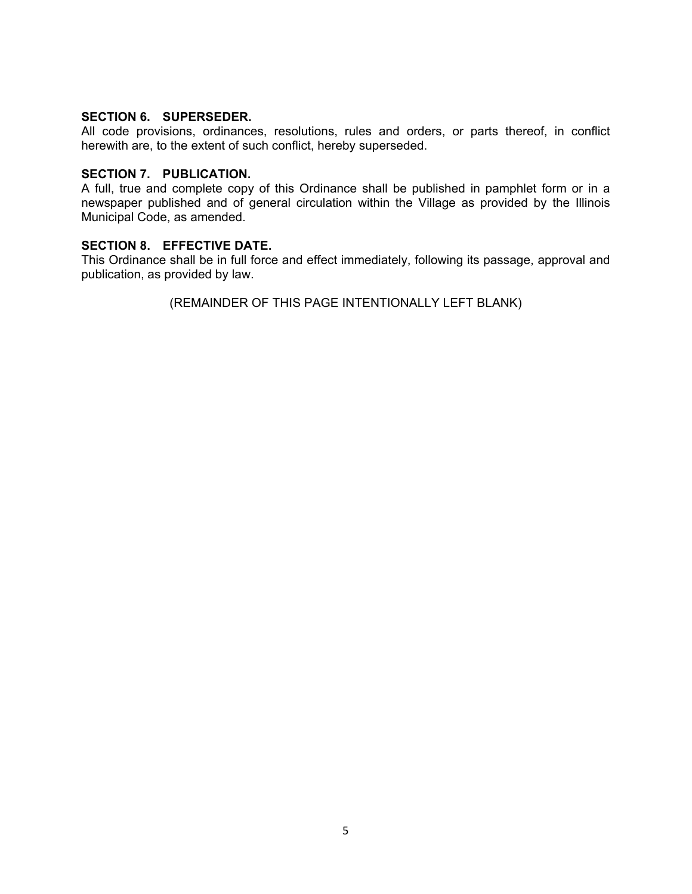### **SECTION 6. SUPERSEDER.**

All code provisions, ordinances, resolutions, rules and orders, or parts thereof, in conflict herewith are, to the extent of such conflict, hereby superseded.

## **SECTION 7. PUBLICATION.**

A full, true and complete copy of this Ordinance shall be published in pamphlet form or in a newspaper published and of general circulation within the Village as provided by the Illinois Municipal Code, as amended.

### **SECTION 8. EFFECTIVE DATE.**

This Ordinance shall be in full force and effect immediately, following its passage, approval and publication, as provided by law.

(REMAINDER OF THIS PAGE INTENTIONALLY LEFT BLANK)